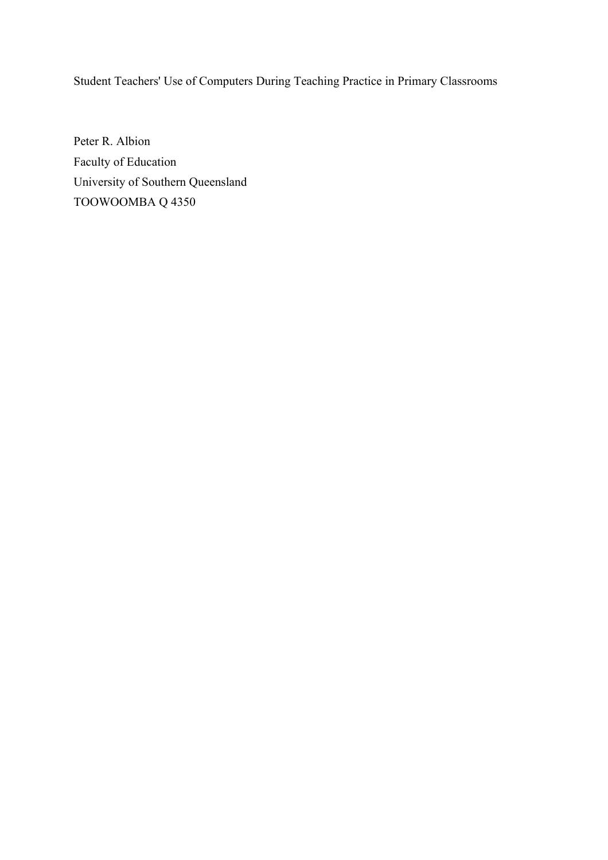Student Teachers' Use of Computers During Teaching Practice in Primary Classrooms

Peter R. Albion Faculty of Education University of Southern Queensland TOOWOOMBA Q 4350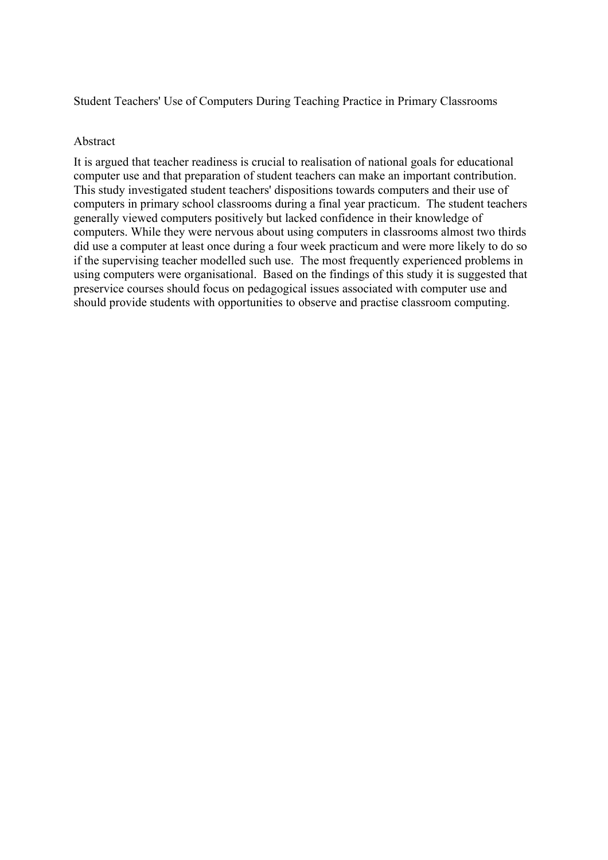Student Teachers' Use of Computers During Teaching Practice in Primary Classrooms

#### Abstract

It is argued that teacher readiness is crucial to realisation of national goals for educational computer use and that preparation of student teachers can make an important contribution. This study investigated student teachers' dispositions towards computers and their use of computers in primary school classrooms during a final year practicum. The student teachers generally viewed computers positively but lacked confidence in their knowledge of computers. While they were nervous about using computers in classrooms almost two thirds did use a computer at least once during a four week practicum and were more likely to do so if the supervising teacher modelled such use. The most frequently experienced problems in using computers were organisational. Based on the findings of this study it is suggested that preservice courses should focus on pedagogical issues associated with computer use and should provide students with opportunities to observe and practise classroom computing.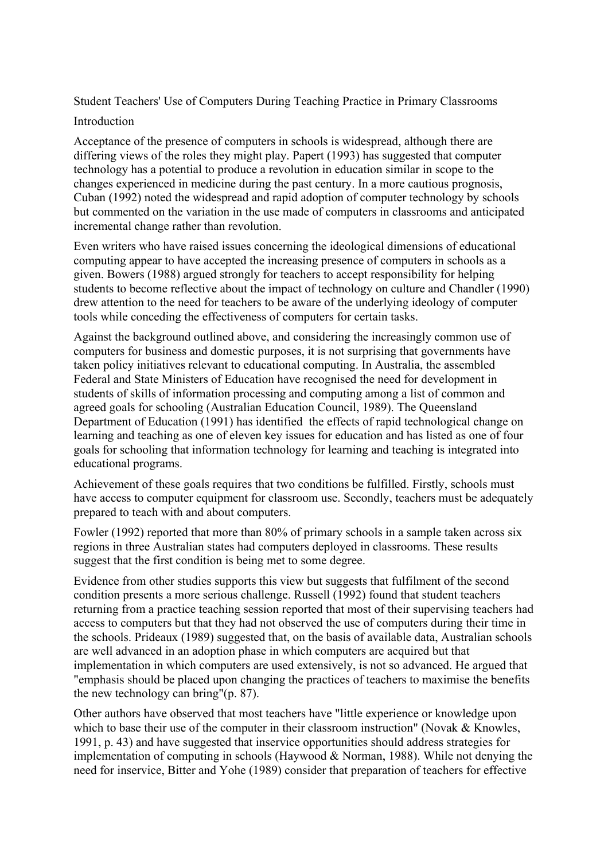Student Teachers' Use of Computers During Teaching Practice in Primary Classrooms

# Introduction

Acceptance of the presence of computers in schools is widespread, although there are differing views of the roles they might play. Papert (1993) has suggested that computer technology has a potential to produce a revolution in education similar in scope to the changes experienced in medicine during the past century. In a more cautious prognosis, Cuban (1992) noted the widespread and rapid adoption of computer technology by schools but commented on the variation in the use made of computers in classrooms and anticipated incremental change rather than revolution.

Even writers who have raised issues concerning the ideological dimensions of educational computing appear to have accepted the increasing presence of computers in schools as a given. Bowers (1988) argued strongly for teachers to accept responsibility for helping students to become reflective about the impact of technology on culture and Chandler (1990) drew attention to the need for teachers to be aware of the underlying ideology of computer tools while conceding the effectiveness of computers for certain tasks.

Against the background outlined above, and considering the increasingly common use of computers for business and domestic purposes, it is not surprising that governments have taken policy initiatives relevant to educational computing. In Australia, the assembled Federal and State Ministers of Education have recognised the need for development in students of skills of information processing and computing among a list of common and agreed goals for schooling (Australian Education Council, 1989). The Queensland Department of Education (1991) has identified the effects of rapid technological change on learning and teaching as one of eleven key issues for education and has listed as one of four goals for schooling that information technology for learning and teaching is integrated into educational programs.

Achievement of these goals requires that two conditions be fulfilled. Firstly, schools must have access to computer equipment for classroom use. Secondly, teachers must be adequately prepared to teach with and about computers.

Fowler (1992) reported that more than 80% of primary schools in a sample taken across six regions in three Australian states had computers deployed in classrooms. These results suggest that the first condition is being met to some degree.

Evidence from other studies supports this view but suggests that fulfilment of the second condition presents a more serious challenge. Russell (1992) found that student teachers returning from a practice teaching session reported that most of their supervising teachers had access to computers but that they had not observed the use of computers during their time in the schools. Prideaux (1989) suggested that, on the basis of available data, Australian schools are well advanced in an adoption phase in which computers are acquired but that implementation in which computers are used extensively, is not so advanced. He argued that "emphasis should be placed upon changing the practices of teachers to maximise the benefits the new technology can bring"(p. 87).

Other authors have observed that most teachers have "little experience or knowledge upon which to base their use of the computer in their classroom instruction" (Novak & Knowles, 1991, p. 43) and have suggested that inservice opportunities should address strategies for implementation of computing in schools (Haywood & Norman, 1988). While not denying the need for inservice, Bitter and Yohe (1989) consider that preparation of teachers for effective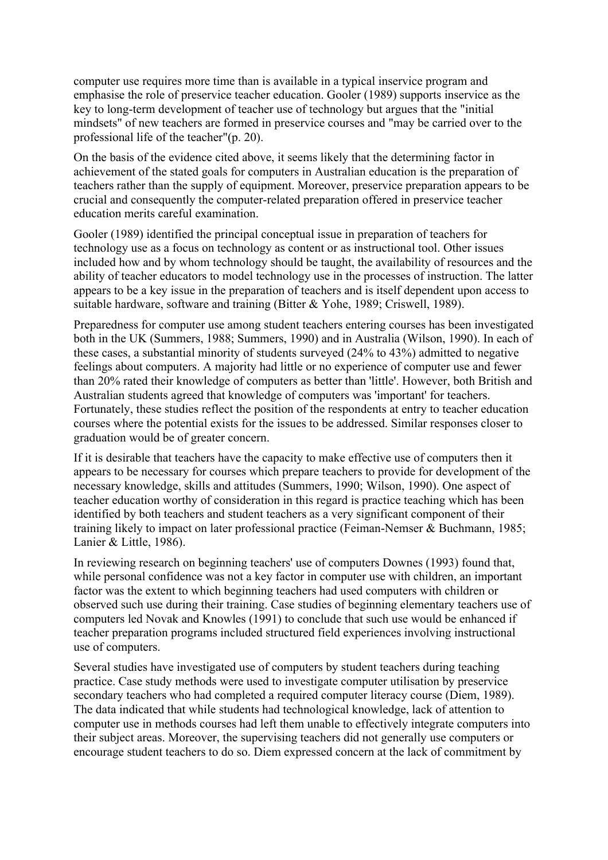computer use requires more time than is available in a typical inservice program and emphasise the role of preservice teacher education. Gooler (1989) supports inservice as the key to long-term development of teacher use of technology but argues that the "initial mindsets" of new teachers are formed in preservice courses and "may be carried over to the professional life of the teacher"(p. 20).

On the basis of the evidence cited above, it seems likely that the determining factor in achievement of the stated goals for computers in Australian education is the preparation of teachers rather than the supply of equipment. Moreover, preservice preparation appears to be crucial and consequently the computer-related preparation offered in preservice teacher education merits careful examination.

Gooler (1989) identified the principal conceptual issue in preparation of teachers for technology use as a focus on technology as content or as instructional tool. Other issues included how and by whom technology should be taught, the availability of resources and the ability of teacher educators to model technology use in the processes of instruction. The latter appears to be a key issue in the preparation of teachers and is itself dependent upon access to suitable hardware, software and training (Bitter & Yohe, 1989; Criswell, 1989).

Preparedness for computer use among student teachers entering courses has been investigated both in the UK (Summers, 1988; Summers, 1990) and in Australia (Wilson, 1990). In each of these cases, a substantial minority of students surveyed (24% to 43%) admitted to negative feelings about computers. A majority had little or no experience of computer use and fewer than 20% rated their knowledge of computers as better than 'little'. However, both British and Australian students agreed that knowledge of computers was 'important' for teachers. Fortunately, these studies reflect the position of the respondents at entry to teacher education courses where the potential exists for the issues to be addressed. Similar responses closer to graduation would be of greater concern.

If it is desirable that teachers have the capacity to make effective use of computers then it appears to be necessary for courses which prepare teachers to provide for development of the necessary knowledge, skills and attitudes (Summers, 1990; Wilson, 1990). One aspect of teacher education worthy of consideration in this regard is practice teaching which has been identified by both teachers and student teachers as a very significant component of their training likely to impact on later professional practice (Feiman-Nemser & Buchmann, 1985; Lanier & Little, 1986).

In reviewing research on beginning teachers' use of computers Downes (1993) found that, while personal confidence was not a key factor in computer use with children, an important factor was the extent to which beginning teachers had used computers with children or observed such use during their training. Case studies of beginning elementary teachers use of computers led Novak and Knowles (1991) to conclude that such use would be enhanced if teacher preparation programs included structured field experiences involving instructional use of computers.

Several studies have investigated use of computers by student teachers during teaching practice. Case study methods were used to investigate computer utilisation by preservice secondary teachers who had completed a required computer literacy course (Diem, 1989). The data indicated that while students had technological knowledge, lack of attention to computer use in methods courses had left them unable to effectively integrate computers into their subject areas. Moreover, the supervising teachers did not generally use computers or encourage student teachers to do so. Diem expressed concern at the lack of commitment by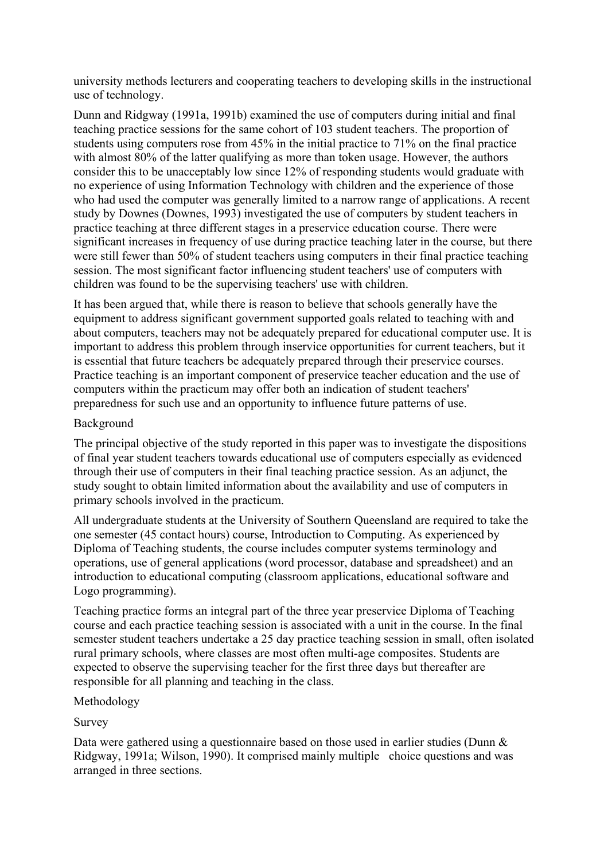university methods lecturers and cooperating teachers to developing skills in the instructional use of technology.

Dunn and Ridgway (1991a, 1991b) examined the use of computers during initial and final teaching practice sessions for the same cohort of 103 student teachers. The proportion of students using computers rose from 45% in the initial practice to 71% on the final practice with almost 80% of the latter qualifying as more than token usage. However, the authors consider this to be unacceptably low since 12% of responding students would graduate with no experience of using Information Technology with children and the experience of those who had used the computer was generally limited to a narrow range of applications. A recent study by Downes (Downes, 1993) investigated the use of computers by student teachers in practice teaching at three different stages in a preservice education course. There were significant increases in frequency of use during practice teaching later in the course, but there were still fewer than 50% of student teachers using computers in their final practice teaching session. The most significant factor influencing student teachers' use of computers with children was found to be the supervising teachers' use with children.

It has been argued that, while there is reason to believe that schools generally have the equipment to address significant government supported goals related to teaching with and about computers, teachers may not be adequately prepared for educational computer use. It is important to address this problem through inservice opportunities for current teachers, but it is essential that future teachers be adequately prepared through their preservice courses. Practice teaching is an important component of preservice teacher education and the use of computers within the practicum may offer both an indication of student teachers' preparedness for such use and an opportunity to influence future patterns of use.

# Background

The principal objective of the study reported in this paper was to investigate the dispositions of final year student teachers towards educational use of computers especially as evidenced through their use of computers in their final teaching practice session. As an adjunct, the study sought to obtain limited information about the availability and use of computers in primary schools involved in the practicum.

All undergraduate students at the University of Southern Queensland are required to take the one semester (45 contact hours) course, Introduction to Computing. As experienced by Diploma of Teaching students, the course includes computer systems terminology and operations, use of general applications (word processor, database and spreadsheet) and an introduction to educational computing (classroom applications, educational software and Logo programming).

Teaching practice forms an integral part of the three year preservice Diploma of Teaching course and each practice teaching session is associated with a unit in the course. In the final semester student teachers undertake a 25 day practice teaching session in small, often isolated rural primary schools, where classes are most often multi-age composites. Students are expected to observe the supervising teacher for the first three days but thereafter are responsible for all planning and teaching in the class.

#### Methodology

# Survey

Data were gathered using a questionnaire based on those used in earlier studies (Dunn & Ridgway, 1991a; Wilson, 1990). It comprised mainly multiple choice questions and was arranged in three sections.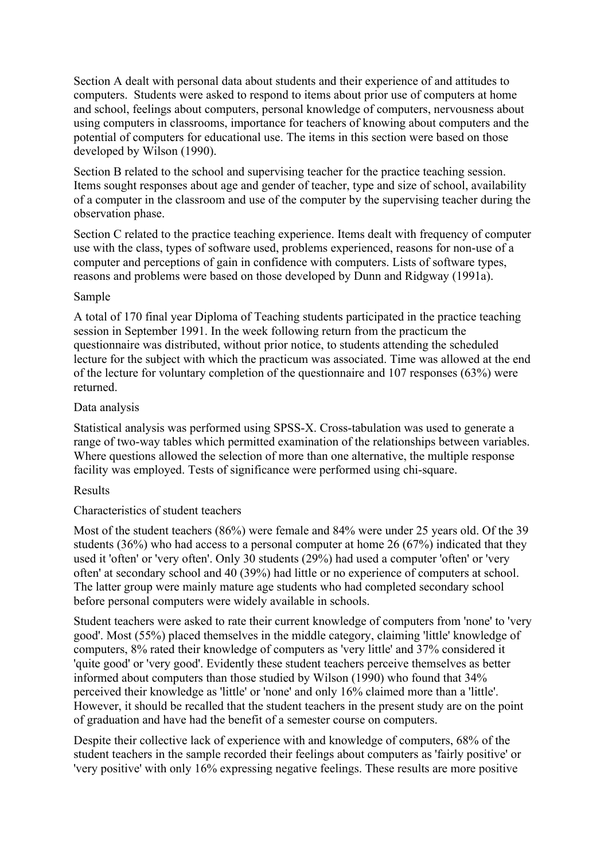Section A dealt with personal data about students and their experience of and attitudes to computers. Students were asked to respond to items about prior use of computers at home and school, feelings about computers, personal knowledge of computers, nervousness about using computers in classrooms, importance for teachers of knowing about computers and the potential of computers for educational use. The items in this section were based on those developed by Wilson (1990).

Section B related to the school and supervising teacher for the practice teaching session. Items sought responses about age and gender of teacher, type and size of school, availability of a computer in the classroom and use of the computer by the supervising teacher during the observation phase.

Section C related to the practice teaching experience. Items dealt with frequency of computer use with the class, types of software used, problems experienced, reasons for non-use of a computer and perceptions of gain in confidence with computers. Lists of software types, reasons and problems were based on those developed by Dunn and Ridgway (1991a).

#### Sample

A total of 170 final year Diploma of Teaching students participated in the practice teaching session in September 1991. In the week following return from the practicum the questionnaire was distributed, without prior notice, to students attending the scheduled lecture for the subject with which the practicum was associated. Time was allowed at the end of the lecture for voluntary completion of the questionnaire and 107 responses (63%) were returned.

#### Data analysis

Statistical analysis was performed using SPSS-X. Cross-tabulation was used to generate a range of two-way tables which permitted examination of the relationships between variables. Where questions allowed the selection of more than one alternative, the multiple response facility was employed. Tests of significance were performed using chi-square.

#### Results

# Characteristics of student teachers

Most of the student teachers (86%) were female and 84% were under 25 years old. Of the 39 students (36%) who had access to a personal computer at home 26 (67%) indicated that they used it 'often' or 'very often'. Only 30 students (29%) had used a computer 'often' or 'very often' at secondary school and 40 (39%) had little or no experience of computers at school. The latter group were mainly mature age students who had completed secondary school before personal computers were widely available in schools.

Student teachers were asked to rate their current knowledge of computers from 'none' to 'very good'. Most (55%) placed themselves in the middle category, claiming 'little' knowledge of computers, 8% rated their knowledge of computers as 'very little' and 37% considered it 'quite good' or 'very good'. Evidently these student teachers perceive themselves as better informed about computers than those studied by Wilson (1990) who found that 34% perceived their knowledge as 'little' or 'none' and only 16% claimed more than a 'little'. However, it should be recalled that the student teachers in the present study are on the point of graduation and have had the benefit of a semester course on computers.

Despite their collective lack of experience with and knowledge of computers, 68% of the student teachers in the sample recorded their feelings about computers as 'fairly positive' or 'very positive' with only 16% expressing negative feelings. These results are more positive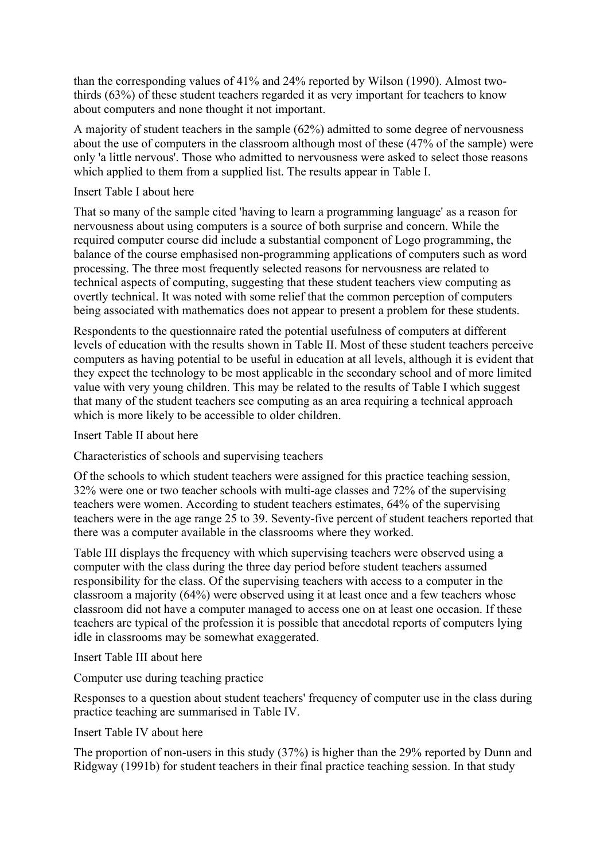than the corresponding values of 41% and 24% reported by Wilson (1990). Almost twothirds (63%) of these student teachers regarded it as very important for teachers to know about computers and none thought it not important.

A majority of student teachers in the sample (62%) admitted to some degree of nervousness about the use of computers in the classroom although most of these (47% of the sample) were only 'a little nervous'. Those who admitted to nervousness were asked to select those reasons which applied to them from a supplied list. The results appear in Table I.

#### Insert Table I about here

That so many of the sample cited 'having to learn a programming language' as a reason for nervousness about using computers is a source of both surprise and concern. While the required computer course did include a substantial component of Logo programming, the balance of the course emphasised non-programming applications of computers such as word processing. The three most frequently selected reasons for nervousness are related to technical aspects of computing, suggesting that these student teachers view computing as overtly technical. It was noted with some relief that the common perception of computers being associated with mathematics does not appear to present a problem for these students.

Respondents to the questionnaire rated the potential usefulness of computers at different levels of education with the results shown in Table II. Most of these student teachers perceive computers as having potential to be useful in education at all levels, although it is evident that they expect the technology to be most applicable in the secondary school and of more limited value with very young children. This may be related to the results of Table I which suggest that many of the student teachers see computing as an area requiring a technical approach which is more likely to be accessible to older children.

Insert Table II about here

Characteristics of schools and supervising teachers

Of the schools to which student teachers were assigned for this practice teaching session, 32% were one or two teacher schools with multi-age classes and 72% of the supervising teachers were women. According to student teachers estimates, 64% of the supervising teachers were in the age range 25 to 39. Seventy-five percent of student teachers reported that there was a computer available in the classrooms where they worked.

Table III displays the frequency with which supervising teachers were observed using a computer with the class during the three day period before student teachers assumed responsibility for the class. Of the supervising teachers with access to a computer in the classroom a majority (64%) were observed using it at least once and a few teachers whose classroom did not have a computer managed to access one on at least one occasion. If these teachers are typical of the profession it is possible that anecdotal reports of computers lying idle in classrooms may be somewhat exaggerated.

# Insert Table III about here

Computer use during teaching practice

Responses to a question about student teachers' frequency of computer use in the class during practice teaching are summarised in Table IV.

Insert Table IV about here

The proportion of non-users in this study (37%) is higher than the 29% reported by Dunn and Ridgway (1991b) for student teachers in their final practice teaching session. In that study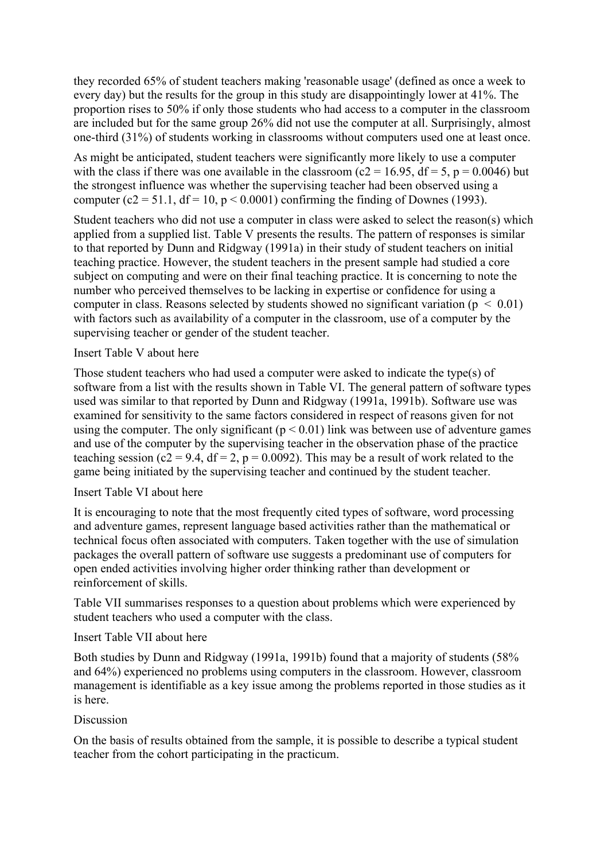they recorded 65% of student teachers making 'reasonable usage' (defined as once a week to every day) but the results for the group in this study are disappointingly lower at 41%. The proportion rises to 50% if only those students who had access to a computer in the classroom are included but for the same group 26% did not use the computer at all. Surprisingly, almost one-third (31%) of students working in classrooms without computers used one at least once.

As might be anticipated, student teachers were significantly more likely to use a computer with the class if there was one available in the classroom ( $c2 = 16.95$ ,  $df = 5$ ,  $p = 0.0046$ ) but the strongest influence was whether the supervising teacher had been observed using a computer (c2 = 51.1, df = 10, p < 0.0001) confirming the finding of Downes (1993).

Student teachers who did not use a computer in class were asked to select the reason(s) which applied from a supplied list. Table V presents the results. The pattern of responses is similar to that reported by Dunn and Ridgway (1991a) in their study of student teachers on initial teaching practice. However, the student teachers in the present sample had studied a core subject on computing and were on their final teaching practice. It is concerning to note the number who perceived themselves to be lacking in expertise or confidence for using a computer in class. Reasons selected by students showed no significant variation ( $p < 0.01$ ) with factors such as availability of a computer in the classroom, use of a computer by the supervising teacher or gender of the student teacher.

### Insert Table V about here

Those student teachers who had used a computer were asked to indicate the type(s) of software from a list with the results shown in Table VI. The general pattern of software types used was similar to that reported by Dunn and Ridgway (1991a, 1991b). Software use was examined for sensitivity to the same factors considered in respect of reasons given for not using the computer. The only significant  $(p < 0.01)$  link was between use of adventure games and use of the computer by the supervising teacher in the observation phase of the practice teaching session (c2 = 9.4, df = 2, p = 0.0092). This may be a result of work related to the game being initiated by the supervising teacher and continued by the student teacher.

# Insert Table VI about here

It is encouraging to note that the most frequently cited types of software, word processing and adventure games, represent language based activities rather than the mathematical or technical focus often associated with computers. Taken together with the use of simulation packages the overall pattern of software use suggests a predominant use of computers for open ended activities involving higher order thinking rather than development or reinforcement of skills.

Table VII summarises responses to a question about problems which were experienced by student teachers who used a computer with the class.

# Insert Table VII about here

Both studies by Dunn and Ridgway (1991a, 1991b) found that a majority of students (58% and 64%) experienced no problems using computers in the classroom. However, classroom management is identifiable as a key issue among the problems reported in those studies as it is here.

#### **Discussion**

On the basis of results obtained from the sample, it is possible to describe a typical student teacher from the cohort participating in the practicum.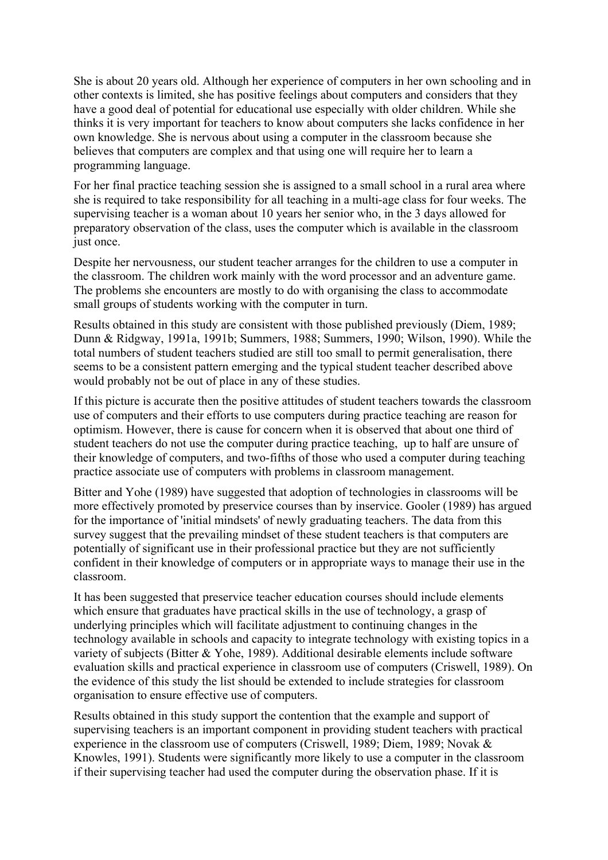She is about 20 years old. Although her experience of computers in her own schooling and in other contexts is limited, she has positive feelings about computers and considers that they have a good deal of potential for educational use especially with older children. While she thinks it is very important for teachers to know about computers she lacks confidence in her own knowledge. She is nervous about using a computer in the classroom because she believes that computers are complex and that using one will require her to learn a programming language.

For her final practice teaching session she is assigned to a small school in a rural area where she is required to take responsibility for all teaching in a multi-age class for four weeks. The supervising teacher is a woman about 10 years her senior who, in the 3 days allowed for preparatory observation of the class, uses the computer which is available in the classroom just once.

Despite her nervousness, our student teacher arranges for the children to use a computer in the classroom. The children work mainly with the word processor and an adventure game. The problems she encounters are mostly to do with organising the class to accommodate small groups of students working with the computer in turn.

Results obtained in this study are consistent with those published previously (Diem, 1989; Dunn & Ridgway, 1991a, 1991b; Summers, 1988; Summers, 1990; Wilson, 1990). While the total numbers of student teachers studied are still too small to permit generalisation, there seems to be a consistent pattern emerging and the typical student teacher described above would probably not be out of place in any of these studies.

If this picture is accurate then the positive attitudes of student teachers towards the classroom use of computers and their efforts to use computers during practice teaching are reason for optimism. However, there is cause for concern when it is observed that about one third of student teachers do not use the computer during practice teaching, up to half are unsure of their knowledge of computers, and two-fifths of those who used a computer during teaching practice associate use of computers with problems in classroom management.

Bitter and Yohe (1989) have suggested that adoption of technologies in classrooms will be more effectively promoted by preservice courses than by inservice. Gooler (1989) has argued for the importance of 'initial mindsets' of newly graduating teachers. The data from this survey suggest that the prevailing mindset of these student teachers is that computers are potentially of significant use in their professional practice but they are not sufficiently confident in their knowledge of computers or in appropriate ways to manage their use in the classroom.

It has been suggested that preservice teacher education courses should include elements which ensure that graduates have practical skills in the use of technology, a grasp of underlying principles which will facilitate adjustment to continuing changes in the technology available in schools and capacity to integrate technology with existing topics in a variety of subjects (Bitter & Yohe, 1989). Additional desirable elements include software evaluation skills and practical experience in classroom use of computers (Criswell, 1989). On the evidence of this study the list should be extended to include strategies for classroom organisation to ensure effective use of computers.

Results obtained in this study support the contention that the example and support of supervising teachers is an important component in providing student teachers with practical experience in the classroom use of computers (Criswell, 1989; Diem, 1989; Novak & Knowles, 1991). Students were significantly more likely to use a computer in the classroom if their supervising teacher had used the computer during the observation phase. If it is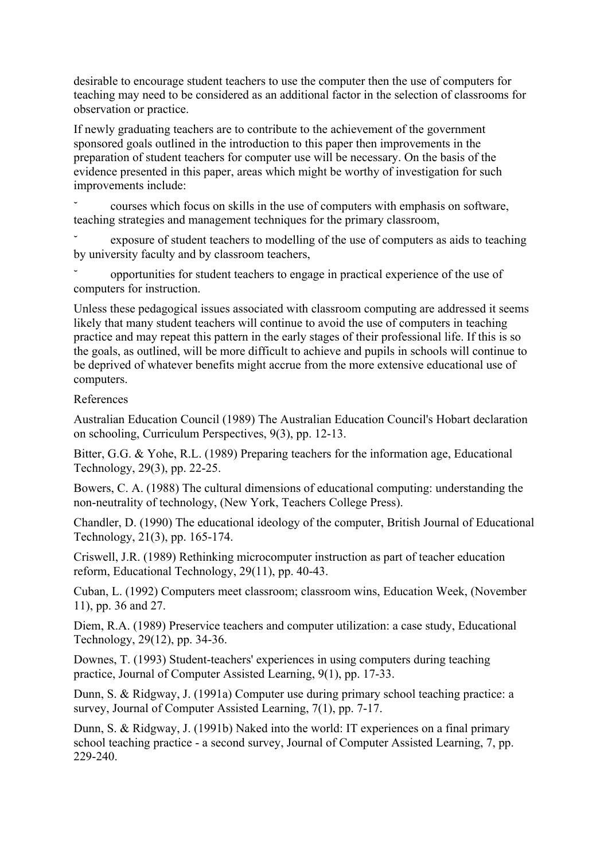desirable to encourage student teachers to use the computer then the use of computers for teaching may need to be considered as an additional factor in the selection of classrooms for observation or practice.

If newly graduating teachers are to contribute to the achievement of the government sponsored goals outlined in the introduction to this paper then improvements in the preparation of student teachers for computer use will be necessary. On the basis of the evidence presented in this paper, areas which might be worthy of investigation for such improvements include:

˘ courses which focus on skills in the use of computers with emphasis on software, teaching strategies and management techniques for the primary classroom,

exposure of student teachers to modelling of the use of computers as aids to teaching by university faculty and by classroom teachers,

˘ opportunities for student teachers to engage in practical experience of the use of computers for instruction.

Unless these pedagogical issues associated with classroom computing are addressed it seems likely that many student teachers will continue to avoid the use of computers in teaching practice and may repeat this pattern in the early stages of their professional life. If this is so the goals, as outlined, will be more difficult to achieve and pupils in schools will continue to be deprived of whatever benefits might accrue from the more extensive educational use of computers.

### References

Australian Education Council (1989) The Australian Education Council's Hobart declaration on schooling, Curriculum Perspectives, 9(3), pp. 12-13.

Bitter, G.G. & Yohe, R.L. (1989) Preparing teachers for the information age, Educational Technology, 29(3), pp. 22-25.

Bowers, C. A. (1988) The cultural dimensions of educational computing: understanding the non-neutrality of technology, (New York, Teachers College Press).

Chandler, D. (1990) The educational ideology of the computer, British Journal of Educational Technology, 21(3), pp. 165-174.

Criswell, J.R. (1989) Rethinking microcomputer instruction as part of teacher education reform, Educational Technology, 29(11), pp. 40-43.

Cuban, L. (1992) Computers meet classroom; classroom wins, Education Week, (November 11), pp. 36 and 27.

Diem, R.A. (1989) Preservice teachers and computer utilization: a case study, Educational Technology, 29(12), pp. 34-36.

Downes, T. (1993) Student-teachers' experiences in using computers during teaching practice, Journal of Computer Assisted Learning, 9(1), pp. 17-33.

Dunn, S. & Ridgway, J. (1991a) Computer use during primary school teaching practice: a survey, Journal of Computer Assisted Learning, 7(1), pp. 7-17.

Dunn, S. & Ridgway, J. (1991b) Naked into the world: IT experiences on a final primary school teaching practice - a second survey, Journal of Computer Assisted Learning, 7, pp. 229-240.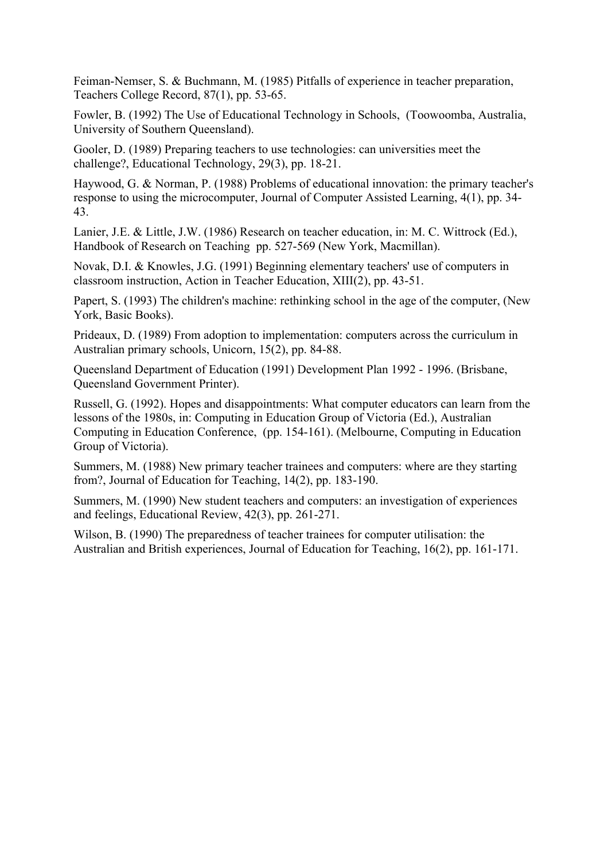Feiman-Nemser, S. & Buchmann, M. (1985) Pitfalls of experience in teacher preparation, Teachers College Record, 87(1), pp. 53-65.

Fowler, B. (1992) The Use of Educational Technology in Schools, (Toowoomba, Australia, University of Southern Queensland).

Gooler, D. (1989) Preparing teachers to use technologies: can universities meet the challenge?, Educational Technology, 29(3), pp. 18-21.

Haywood, G. & Norman, P. (1988) Problems of educational innovation: the primary teacher's response to using the microcomputer, Journal of Computer Assisted Learning, 4(1), pp. 34- 43.

Lanier, J.E. & Little, J.W. (1986) Research on teacher education, in: M. C. Wittrock (Ed.), Handbook of Research on Teaching pp. 527-569 (New York, Macmillan).

Novak, D.I. & Knowles, J.G. (1991) Beginning elementary teachers' use of computers in classroom instruction, Action in Teacher Education, XIII(2), pp. 43-51.

Papert, S. (1993) The children's machine: rethinking school in the age of the computer, (New York, Basic Books).

Prideaux, D. (1989) From adoption to implementation: computers across the curriculum in Australian primary schools, Unicorn, 15(2), pp. 84-88.

Queensland Department of Education (1991) Development Plan 1992 - 1996. (Brisbane, Queensland Government Printer).

Russell, G. (1992). Hopes and disappointments: What computer educators can learn from the lessons of the 1980s, in: Computing in Education Group of Victoria (Ed.), Australian Computing in Education Conference, (pp. 154-161). (Melbourne, Computing in Education Group of Victoria).

Summers, M. (1988) New primary teacher trainees and computers: where are they starting from?, Journal of Education for Teaching, 14(2), pp. 183-190.

Summers, M. (1990) New student teachers and computers: an investigation of experiences and feelings, Educational Review, 42(3), pp. 261-271.

Wilson, B. (1990) The preparedness of teacher trainees for computer utilisation: the Australian and British experiences, Journal of Education for Teaching, 16(2), pp. 161-171.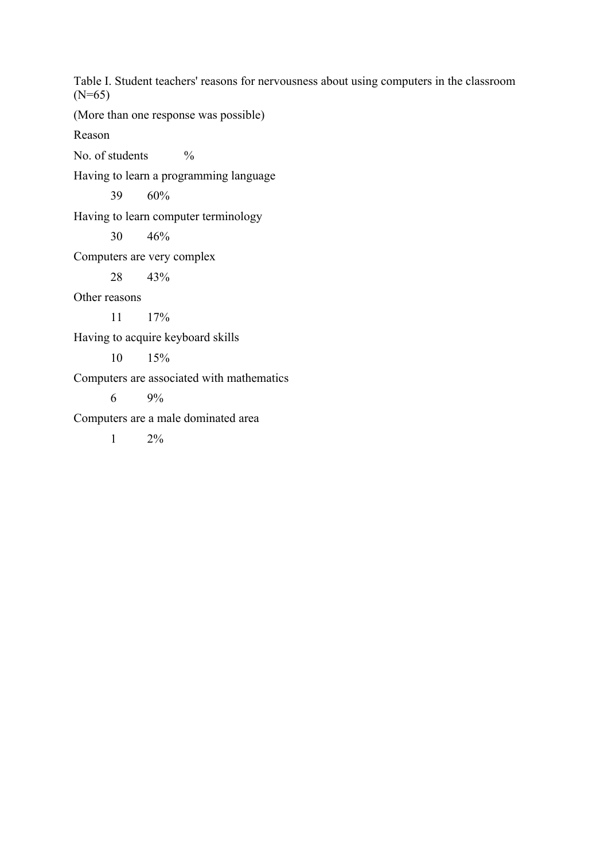Table I. Student teachers' reasons for nervousness about using computers in the classroom (N=65)

(More than one response was possible)

Reason

No. of students  $\%$ 

Having to learn a programming language

39 60%

Having to learn computer terminology

30 46%

Computers are very complex

28 43%

Other reasons

11 17%

Having to acquire keyboard skills

10 15%

Computers are associated with mathematics

6  $9\%$ 

Computers are a male dominated area

1  $2\%$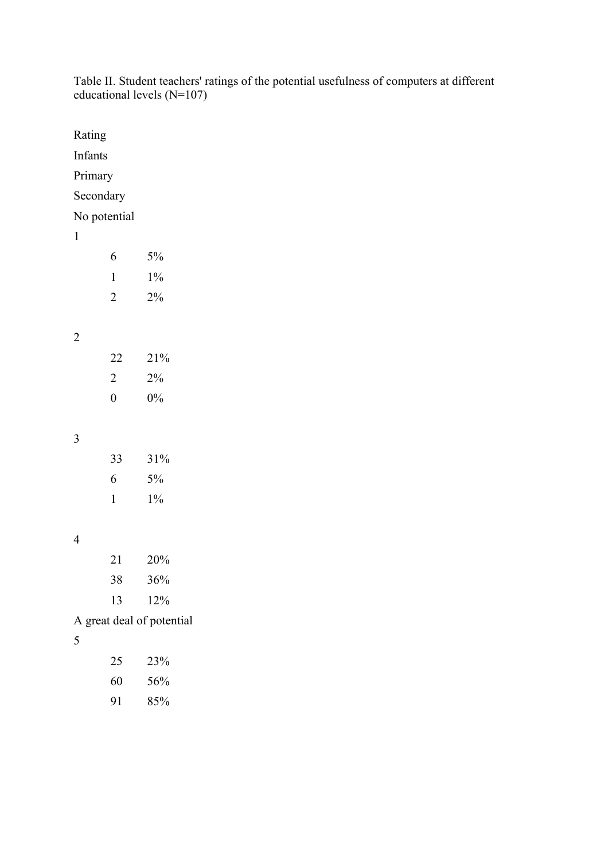|                |                  | equeational levels $(N-10)$ |  |  |
|----------------|------------------|-----------------------------|--|--|
| Rating         |                  |                             |  |  |
| Infants        |                  |                             |  |  |
|                | Primary          |                             |  |  |
|                | Secondary        |                             |  |  |
|                | No potential     |                             |  |  |
| $\mathbf{1}$   |                  |                             |  |  |
|                | 6                | $5\%$                       |  |  |
|                | $\mathbf{1}$     | $1\%$                       |  |  |
|                | $\sqrt{2}$       | $2\%$                       |  |  |
|                |                  |                             |  |  |
| $\overline{2}$ |                  |                             |  |  |
|                | $22\,$           | $21\%$                      |  |  |
|                | $\overline{2}$   | $2\%$                       |  |  |
|                | $\boldsymbol{0}$ | $0\%$                       |  |  |
|                |                  |                             |  |  |
| $\mathfrak{Z}$ |                  |                             |  |  |
|                | 33               | $31\%$                      |  |  |
|                | 6                | $5\%$                       |  |  |
|                | $\mathbf{1}$     | $1\%$                       |  |  |
|                |                  |                             |  |  |
| $\overline{4}$ |                  |                             |  |  |
|                | 21               | $20\%$                      |  |  |
|                | 38               | $36\%$                      |  |  |
|                | 13               | 12%                         |  |  |
|                |                  | A great deal of potential   |  |  |
| $\sqrt{5}$     |                  |                             |  |  |
|                | $25\,$           | 23%                         |  |  |
|                | 60               | 56%                         |  |  |

85%

Table II. Student teachers' ratings of the potential usefulness of computers at different educational levels (N=107)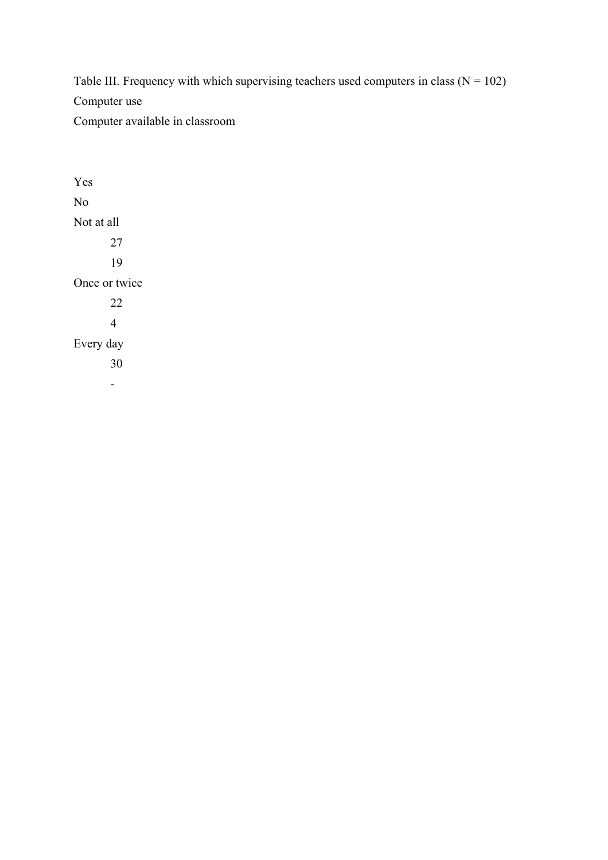Table III. Frequency with which supervising teachers used computers in class  $(N = 102)$ Computer use Computer available in classroom

Yes No Not at all 27 19 Once or twice 22 4 Every day 30 -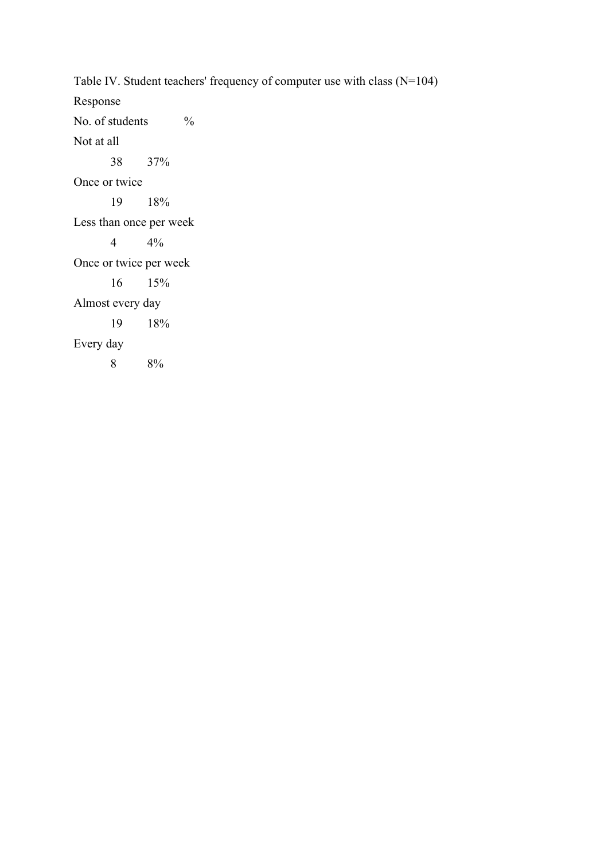Table IV. Student teachers' frequency of computer use with class (N=104) Response No. of students % Not at all 38 37% Once or twice 19 18% Less than once per week 4 4% Once or twice per week 16 15% Almost every day 19 18% Every day 8 8%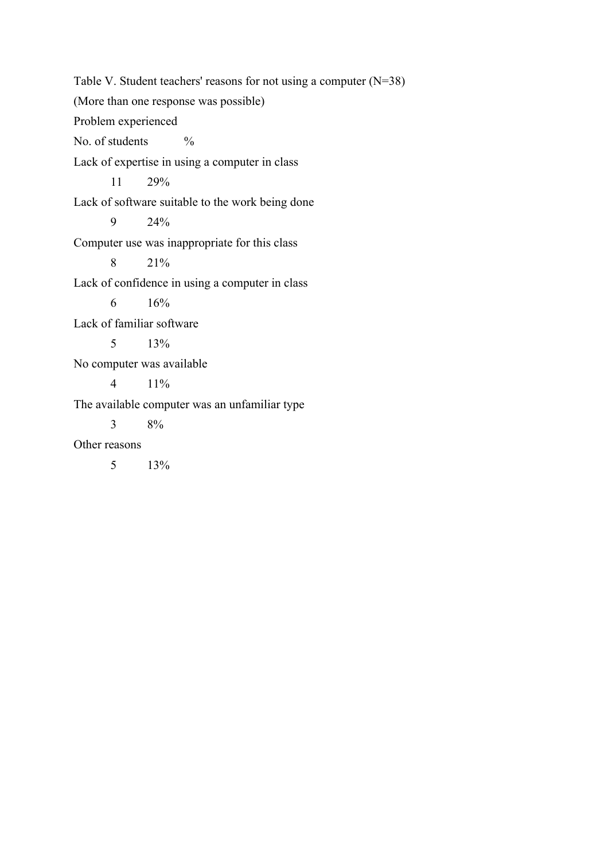Table V. Student teachers' reasons for not using a computer (N=38) (More than one response was possible) Problem experienced No. of students  $\frac{9}{6}$ Lack of expertise in using a computer in class 11 29% Lack of software suitable to the work being done 9 24% Computer use was inappropriate for this class 8 21% Lack of confidence in using a computer in class 6 16% Lack of familiar software 5 13% No computer was available 4 11% The available computer was an unfamiliar type 3 8% Other reasons 5 13%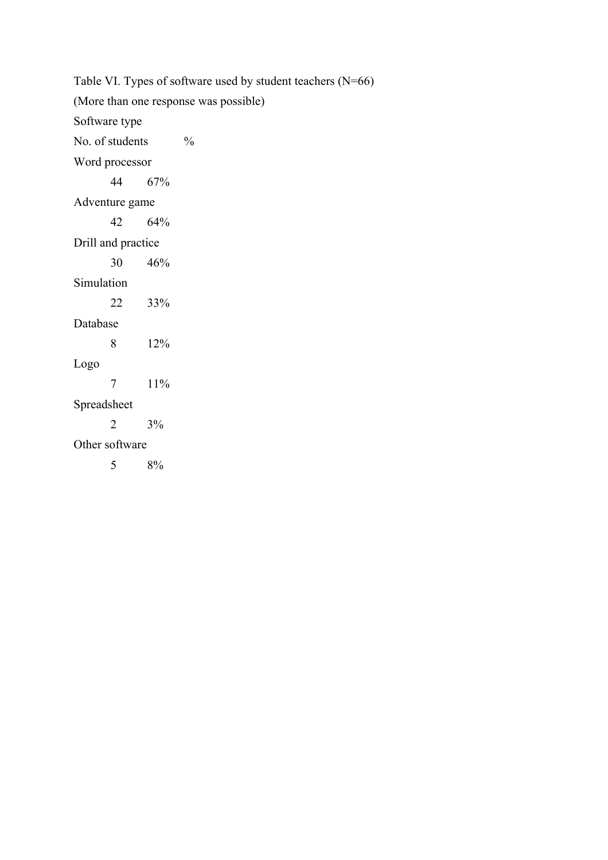Table VI. Types of software used by student teachers (N=66) (More than one response was possible) Software type No. of students  $\frac{6}{6}$ Word processor 44 67% Adventure game 42 64% Drill and practice 30 46% Simulation 22 33% Database 8 12% Logo 7 11% Spreadsheet 2 3% Other software 5 8%